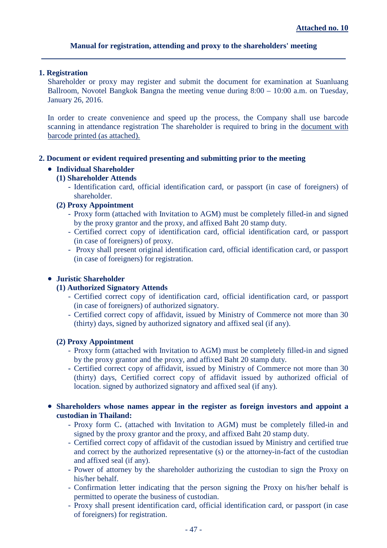## **Manual for registration, attending and proxy to the shareholders' meeting**

#### **1. Registration**

Shareholder or proxy may register and submit the document for examination at Suanluang Ballroom, Novotel Bangkok Bangna the meeting venue during 8:00 – 10:00 a.m. on Tuesday, January 26, 2016.

In order to create convenience and speed up the process, the Company shall use barcode scanning in attendance registration The shareholder is required to bring in the document with barcode printed (as attached).

#### **2. Document or evident required presenting and submitting prior to the meeting**

# • **Individual Shareholder**

## **(1) Shareholder Attends**

- Identification card, official identification card, or passport (in case of foreigners) of shareholder.

#### **(2) Proxy Appointment**

- Proxy form (attached with Invitation to AGM) must be completely filled-in and signed by the proxy grantor and the proxy, and affixed Baht 20 stamp duty.
- Certified correct copy of identification card, official identification card, or passport (in case of foreigners) of proxy.
- Proxy shall present original identification card, official identification card, or passport (in case of foreigners) for registration.

### • **Juristic Shareholder**

### **(1) Authorized Signatory Attends**

- Certified correct copy of identification card, official identification card, or passport (in case of foreigners) of authorized signatory.
- Certified correct copy of affidavit, issued by Ministry of Commerce not more than 30 (thirty) days, signed by authorized signatory and affixed seal (if any).

#### **(2) Proxy Appointment**

- Proxy form (attached with Invitation to AGM) must be completely filled-in and signed by the proxy grantor and the proxy, and affixed Baht 20 stamp duty.
- Certified correct copy of affidavit, issued by Ministry of Commerce not more than 30 (thirty) days, Certified correct copy of affidavit issued by authorized official of location. signed by authorized signatory and affixed seal (if any).

### • **Shareholders whose names appear in the register as foreign investors and appoint a custodian in Thailand:**

- Proxy form C. (attached with Invitation to AGM) must be completely filled-in and signed by the proxy grantor and the proxy, and affixed Baht 20 stamp duty.
- Certified correct copy of affidavit of the custodian issued by Ministry and certified true and correct by the authorized representative (s) or the attorney-in-fact of the custodian and affixed seal (if any).
- Power of attorney by the shareholder authorizing the custodian to sign the Proxy on his/her behalf.
- Confirmation letter indicating that the person signing the Proxy on his/her behalf is permitted to operate the business of custodian.
- Proxy shall present identification card, official identification card, or passport (in case of foreigners) for registration.